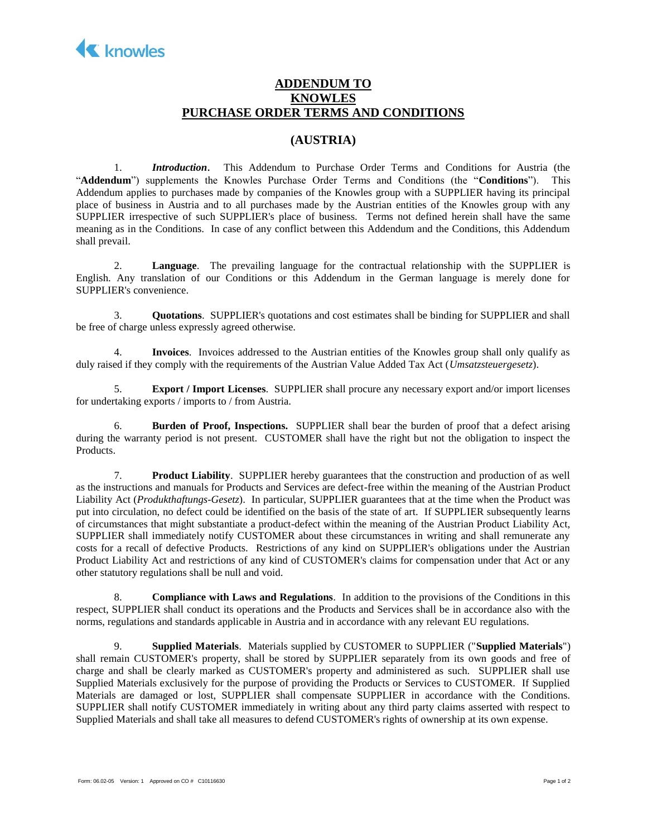

## **ADDENDUM TO KNOWLES PURCHASE ORDER TERMS AND CONDITIONS**

## **(AUSTRIA)**

1. *Introduction*. This Addendum to Purchase Order Terms and Conditions for Austria (the "**Addendum**") supplements the Knowles Purchase Order Terms and Conditions (the "**Conditions**"). This Addendum applies to purchases made by companies of the Knowles group with a SUPPLIER having its principal place of business in Austria and to all purchases made by the Austrian entities of the Knowles group with any SUPPLIER irrespective of such SUPPLIER's place of business. Terms not defined herein shall have the same meaning as in the Conditions. In case of any conflict between this Addendum and the Conditions, this Addendum shall prevail.

2. **Language**. The prevailing language for the contractual relationship with the SUPPLIER is English. Any translation of our Conditions or this Addendum in the German language is merely done for SUPPLIER's convenience.

3. **Quotations**. SUPPLIER's quotations and cost estimates shall be binding for SUPPLIER and shall be free of charge unless expressly agreed otherwise.

4. **Invoices**. Invoices addressed to the Austrian entities of the Knowles group shall only qualify as duly raised if they comply with the requirements of the Austrian Value Added Tax Act (*Umsatzsteuergesetz*).

5. **Export / Import Licenses**. SUPPLIER shall procure any necessary export and/or import licenses for undertaking exports / imports to / from Austria.

6. **Burden of Proof, Inspections.** SUPPLIER shall bear the burden of proof that a defect arising during the warranty period is not present. CUSTOMER shall have the right but not the obligation to inspect the Products.

7. **Product Liability**. SUPPLIER hereby guarantees that the construction and production of as well as the instructions and manuals for Products and Services are defect-free within the meaning of the Austrian Product Liability Act (*Produkthaftungs-Gesetz*). In particular, SUPPLIER guarantees that at the time when the Product was put into circulation, no defect could be identified on the basis of the state of art. If SUPPLIER subsequently learns of circumstances that might substantiate a product-defect within the meaning of the Austrian Product Liability Act, SUPPLIER shall immediately notify CUSTOMER about these circumstances in writing and shall remunerate any costs for a recall of defective Products. Restrictions of any kind on SUPPLIER's obligations under the Austrian Product Liability Act and restrictions of any kind of CUSTOMER's claims for compensation under that Act or any other statutory regulations shall be null and void.

8. **Compliance with Laws and Regulations**. In addition to the provisions of the Conditions in this respect, SUPPLIER shall conduct its operations and the Products and Services shall be in accordance also with the norms, regulations and standards applicable in Austria and in accordance with any relevant EU regulations.

9. **Supplied Materials**. Materials supplied by CUSTOMER to SUPPLIER ("**Supplied Materials**") shall remain CUSTOMER's property, shall be stored by SUPPLIER separately from its own goods and free of charge and shall be clearly marked as CUSTOMER's property and administered as such. SUPPLIER shall use Supplied Materials exclusively for the purpose of providing the Products or Services to CUSTOMER. If Supplied Materials are damaged or lost, SUPPLIER shall compensate SUPPLIER in accordance with the Conditions. SUPPLIER shall notify CUSTOMER immediately in writing about any third party claims asserted with respect to Supplied Materials and shall take all measures to defend CUSTOMER's rights of ownership at its own expense.